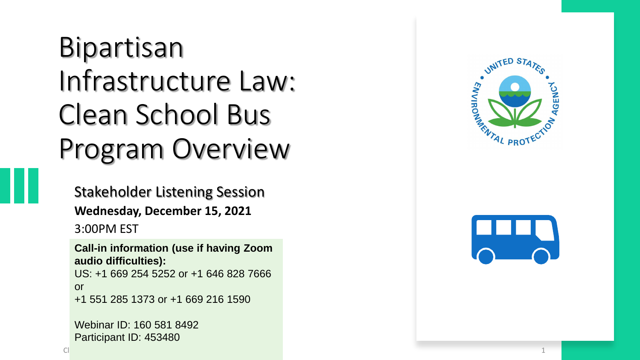### Bipartisan Infrastructure Law: Clean School Bus Program Overview

Stakeholder Listening Session **Wednesday, December 15, 2021** 3:00PM EST

**Call -in information (use if having Zoom audio difficulties):** US: +1 669 254 5252 or +1 646 828 7666 or +1 551 285 1373 or +1 669 216 1590

Webinar ID: 160 581 8492 Participant ID: 453480



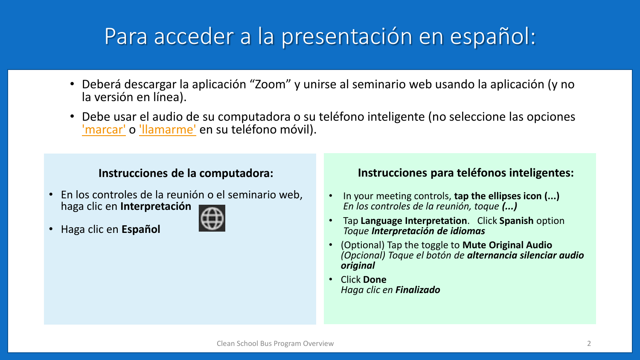#### Para acceder a la presentación en español:

- Deberá descargar la aplicación "Zoom" y unirse al seminario web usando la aplicación (y no la versión en línea).
- Debe usar el audio de su computadora o su teléfono inteligente (no seleccione las opciones ['marcar'](https://gcc02.safelinks.protection.outlook.com/?url=https%3A%2F%2Fsupport.zoom.us%2Fhc%2Fen-us%2Farticles%2F201362663&data=04%7C01%7CFroman.Sarah%40epa.gov%7C73a6c69897e2452c837e08d8fababc7b%7C88b378b367484867acf976aacbeca6a7%7C0%7C0%7C637535027213137250%7CUnknown%7CTWFpbGZsb3d8eyJWIjoiMC4wLjAwMDAiLCJQIjoiV2luMzIiLCJBTiI6Ik1haWwiLCJXVCI6Mn0%3D%7C1000&sdata=1eCzG2CO%2Fy4I%2F3N9hqjwcZdl%2B2bfeIPY%2BFVjd%2B7HLUM%3D&reserved=0) o ['llamarme'](https://gcc02.safelinks.protection.outlook.com/?url=https%3A%2F%2Fsupport.zoom.us%2Fhc%2Fen-us%2Farticles%2F200942859&data=04%7C01%7CFroman.Sarah%40epa.gov%7C73a6c69897e2452c837e08d8fababc7b%7C88b378b367484867acf976aacbeca6a7%7C0%7C0%7C637535027213137250%7CUnknown%7CTWFpbGZsb3d8eyJWIjoiMC4wLjAwMDAiLCJQIjoiV2luMzIiLCJBTiI6Ik1haWwiLCJXVCI6Mn0%3D%7C1000&sdata=EoLLm0WCAJcOQTOGU4PJGSt5%2Fqq3T9sxAGYNUShileE%3D&reserved=0) en su teléfono móvil).

#### **Instrucciones de la computadora:**

• En los controles de la reunión o el seminario web, haga clic en **Interpretación** 



• Haga clic en **Español**

#### **Instrucciones para teléfonos inteligentes:**

- In your meeting controls, **tap the ellipses icon (...)** *En los controles de la reunión, toque (...)*
- Tap **Language Interpretation**. Click **Spanish** option *Toque Interpretación de idiomas*
- (Optional) Tap the toggle to **Mute Original Audio** *(Opcional) Toque el botón de alternancia silenciar audio original*
- Click **Done** *Haga clic en Finalizado*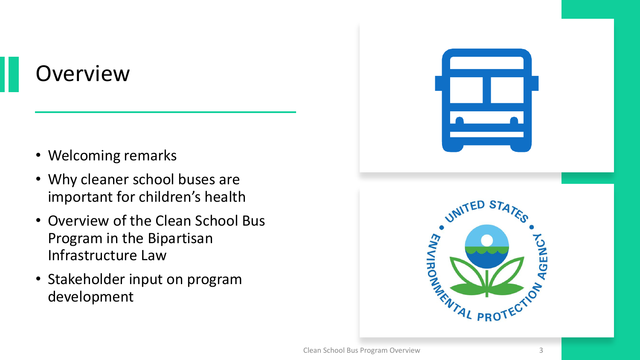#### **Overview**

- Welcoming remarks
- Why cleaner school buses are important for children's health
- Overview of the Clean School Bus Program in the Bipartisan Infrastructure Law
- Stakeholder input on program development

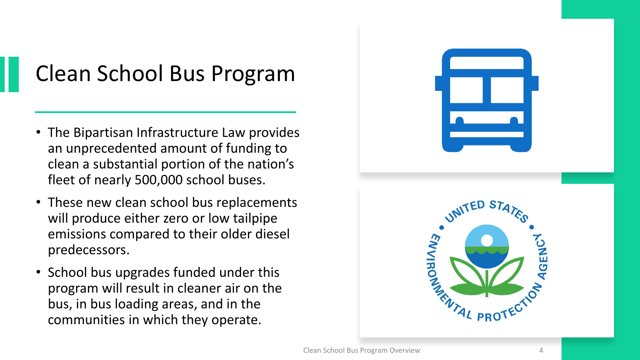### Clean School Bus Program

- The Bipartisan Infrastructure Law provides an unprecedented amount of funding to clean a substantial portion of the nation's fleet of nearly 500,000 school buses.
- These new clean school bus replacements will produce either zero or low tailpipe emissions compared to their older diesel predecessors.
- School bus upgrades funded under this program will result in cleaner air on the bus, in bus loading areas, and in the communities in which they operate.

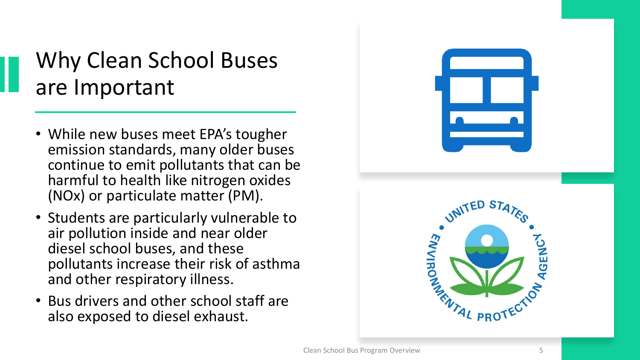#### Why Clean School Buses are Important

- While new buses meet EPA's tougher emission standards, many older buses continue to emit pollutants that can be harmful to health like nitrogen oxides (NOx) or particulate matter (PM).
- Students are particularly vulnerable to air pollution inside and near older diesel school buses, and these pollutants increase their risk of asthma and other respiratory illness.
- Bus drivers and other school staff are also exposed to diesel exhaust.

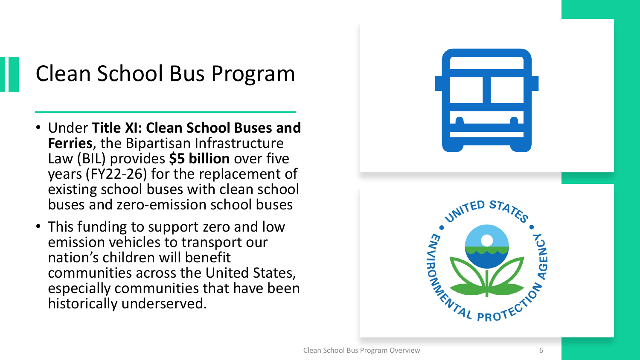### Clean School Bus Program

- Under **Title XI: Clean School Buses and Ferries**, the Bipartisan Infrastructure Law (BIL) provides **\$5 billion** over five years (FY22-26) for the replacement of existing school buses with clean school buses and zero-emission school buses
- This funding to support zero and low emission vehicles to transport our nation's children will benefit communities across the United States, especially communities that have been historically underserved.

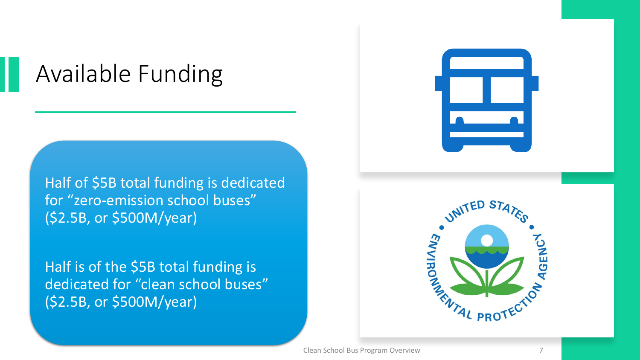### Available Funding

Half of \$5B total funding is dedicated for "zero-emission school buses" (\$2.5B, or \$500M/year)

Half is of the \$5B total funding is dedicated for "clean school buses" (\$2.5B, or \$500M/year)



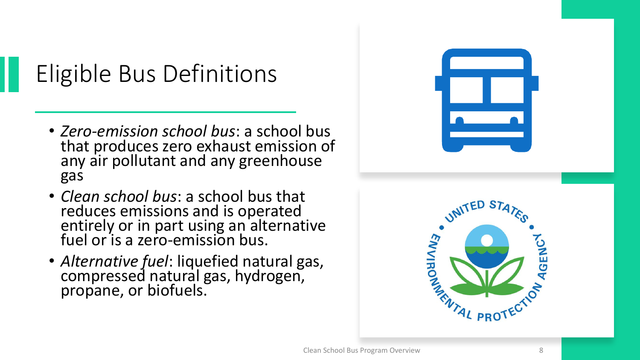### Eligible Bus Definitions

- *Zero-emission school bus*: a school bus that produces zero exhaust emission of any air pollutant and any greenhouse gas
- *Clean school bus*: a school bus that reduces emissions and is operated entirely or in part using an alternative fuel or is a zero-emission bus.
- *Alternative fuel*: liquefied natural gas, compressed natural gas, hydrogen, propane, or biofuels.

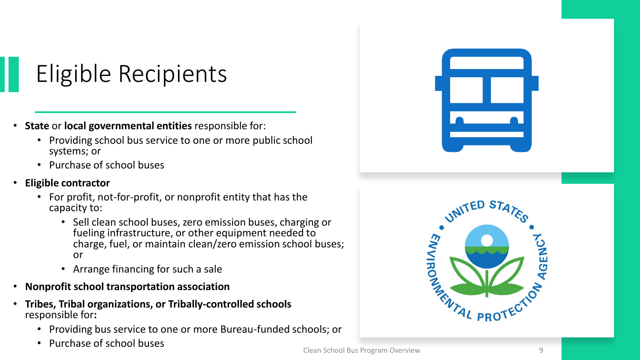### Eligible Recipients

- **State** or **local governmental entities** responsible for:
	- Providing school bus service to one or more public school systems; or
	- Purchase of school buses
- **Eligible contractor** 
	- For profit, not-for-profit, or nonprofit entity that has the capacity to:
		- Sell clean school buses, zero emission buses, charging or fueling infrastructure, or other equipment needed to charge, fuel, or maintain clean/zero emission school buses; or
		- Arrange financing for such a sale
- **Nonprofit school transportation association**
- **Tribes, Tribal organizations, or Tribally-controlled schools**  responsible for**:**
	- Providing bus service to one or more Bureau-funded schools; or
	- Purchase of school buses



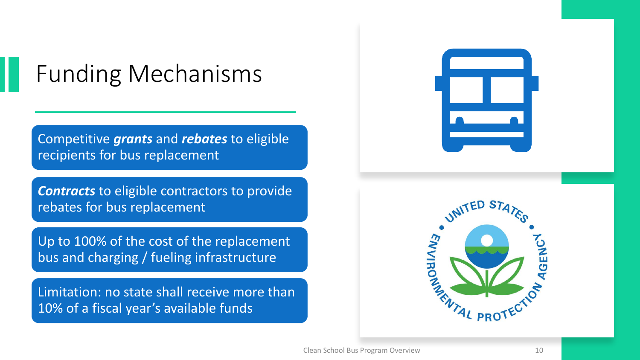### Funding Mechanisms

Competitive *grants* and *rebates* to eligible recipients for bus replacement

*Contracts* to eligible contractors to provide rebates for bus replacement

Up to 100% of the cost of the replacement bus and charging / fueling infrastructure

Limitation: no state shall receive more than 10% of a fiscal year's available funds



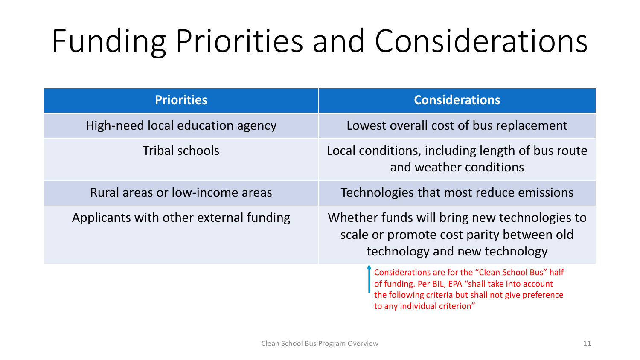# Funding Priorities and Considerations

| <b>Priorities</b>                      | <b>Considerations</b>                                                                                                                                                                           |
|----------------------------------------|-------------------------------------------------------------------------------------------------------------------------------------------------------------------------------------------------|
| High-need local education agency       | Lowest overall cost of bus replacement                                                                                                                                                          |
| Tribal schools                         | Local conditions, including length of bus route<br>and weather conditions                                                                                                                       |
| Rural areas or low-income areas        | Technologies that most reduce emissions                                                                                                                                                         |
| Applicants with other external funding | Whether funds will bring new technologies to<br>scale or promote cost parity between old<br>technology and new technology                                                                       |
|                                        | Considerations are for the "Clean School Bus" half<br>of funding. Per BIL, EPA "shall take into account<br>the following criteria but shall not give preference<br>to any individual criterion" |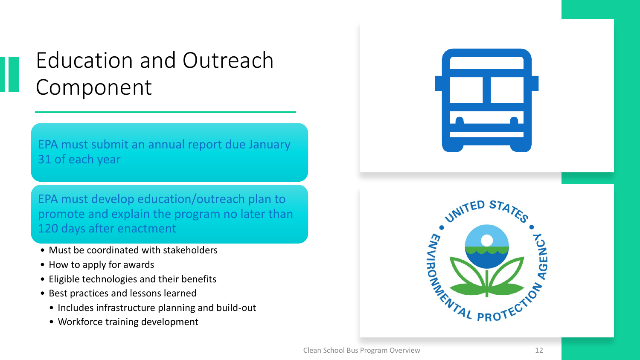#### Education and Outreach Component

EPA must submit an annual report due January 31 of each year

EPA must develop education/outreach plan to promote and explain the program no later than 120 days after enactment

- Must be coordinated with stakeholders
- How to apply for awards
- Eligible technologies and their benefits
- Best practices and lessons learned
	- Includes infrastructure planning and build-out
	- Workforce training development



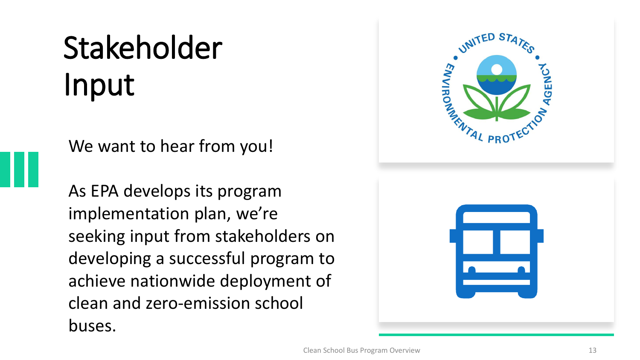## Stakeholder Input

We want to hear from you!

As EPA develops its program implementation plan, we're seeking input from stakeholders on developing a successful program to achieve nationwide deployment of clean and zero-emission school buses.

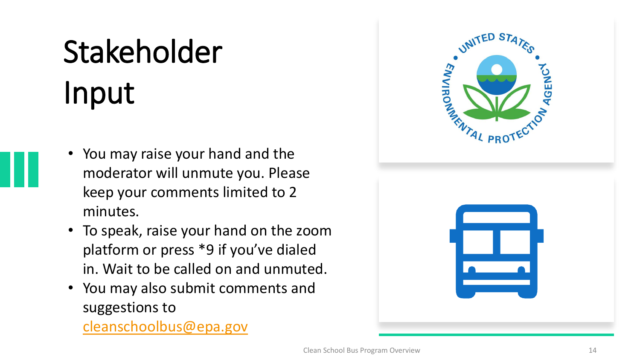# Stakeholder Input

- You may raise your hand and the moderator will unmute you. Please keep your comments limited to 2 minutes.
- To speak, raise your hand on the zoom platform or press \*9 if you've dialed in. Wait to be called on and unmuted.
- You may also submit comments and suggestions to

[cleanschoolbus@epa.gov](mailto:cleanschoolbus@epa.gov)

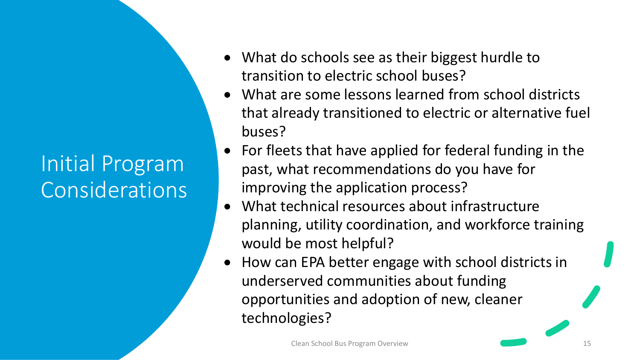#### Initial Program Considerations

- What do schools see as their biggest hurdle to transition to electric school buses?
- What are some lessons learned from school districts that already transitioned to electric or alternative fuel buses?
- For fleets that have applied for federal funding in the past, what recommendations do you have for improving the application process?
- What technical resources about infrastructure planning, utility coordination, and workforce training would be most helpful?
- How can EPA better engage with school districts in underserved communities about funding opportunities and adoption of new, cleaner technologies?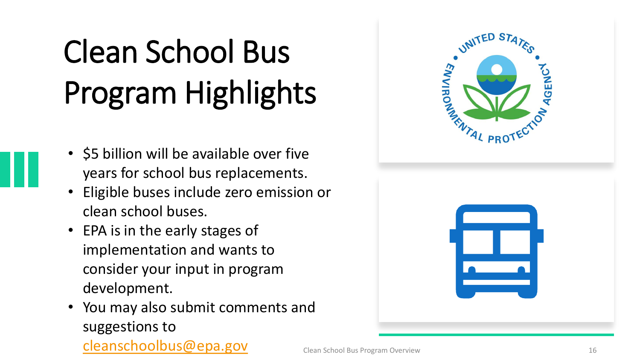# Clean School Bus Program Highlights

- \$5 billion will be available over five years for school bus replacements.
- Eligible buses include zero emission or clean school buses.
- EPA is in the early stages of implementation and wants to consider your input in program development.
- You may also submit comments and suggestions to [cleanschoolbus@epa.gov](mailto:cleanschoolbus@epa.gov)

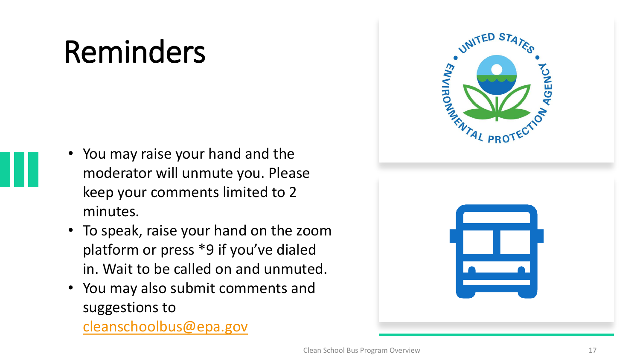### Reminders

- You may raise your hand and the moderator will unmute you. Please keep your comments limited to 2 minutes.
- To speak, raise your hand on the zoom platform or press \*9 if you've dialed in. Wait to be called on and unmuted.
- You may also submit comments and suggestions to

[cleanschoolbus@epa.gov](mailto:cleanschoolbus@epa.gov)

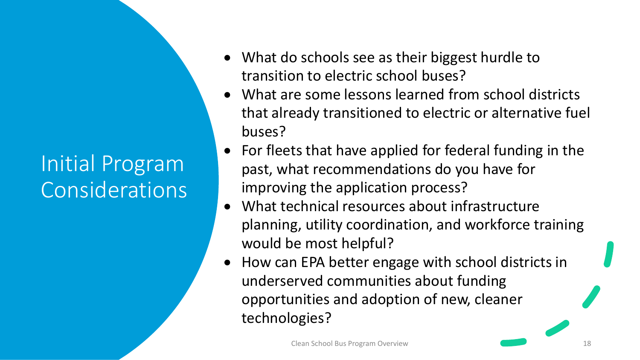#### Initial Program **Considerations**

- What do schools see as their biggest hurdle to transition to electric school buses?
- What are some lessons learned from school districts that already transitioned to electric or alternative fuel buses?
- For fleets that have applied for federal funding in the past, what recommendations do you have for improving the application process?
- What technical resources about infrastructure planning, utility coordination, and workforce training would be most helpful?
- How can EPA better engage with school districts in underserved communities about funding opportunities and adoption of new, cleaner technologies?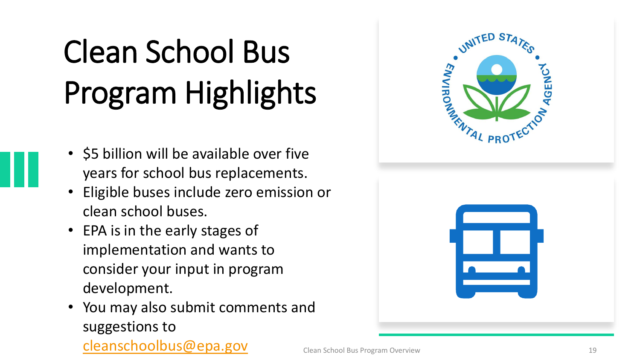# Clean School Bus Program Highlights

- \$5 billion will be available over five years for school bus replacements.
- Eligible buses include zero emission or clean school buses.
- EPA is in the early stages of implementation and wants to consider your input in program development.
- You may also submit comments and suggestions to [cleanschoolbus@epa.gov](mailto:cleanschoolbus@epa.gov)

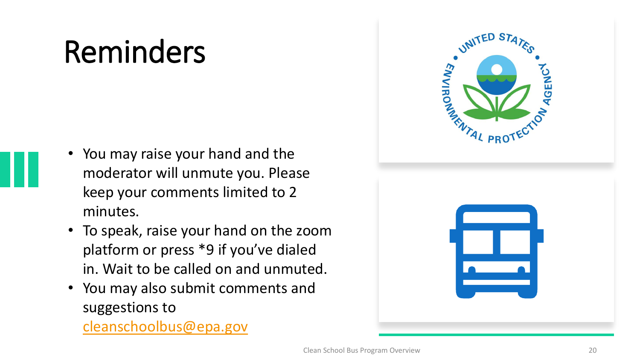### Reminders

- You may raise your hand and the moderator will unmute you. Please keep your comments limited to 2 minutes.
- To speak, raise your hand on the zoom platform or press \*9 if you've dialed in. Wait to be called on and unmuted.
- You may also submit comments and suggestions to

[cleanschoolbus@epa.gov](mailto:cleanschoolbus@epa.gov)

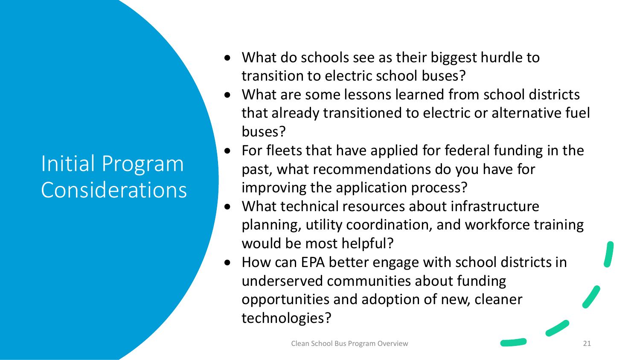#### Initial Program Considerations

- What do schools see as their biggest hurdle to transition to electric school buses?
- What are some lessons learned from school districts that already transitioned to electric or alternative fuel buses?
- For fleets that have applied for federal funding in the past, what recommendations do you have for improving the application process?
- What technical resources about infrastructure planning, utility coordination, and workforce training would be most helpful?
- How can EPA better engage with school districts in underserved communities about funding opportunities and adoption of new, cleaner technologies?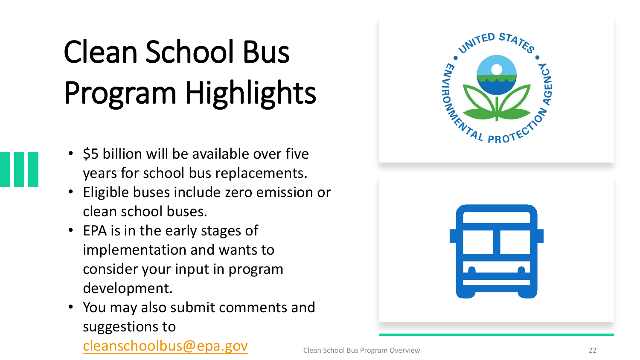# Clean School Bus Program Highlights

- \$5 billion will be available over five years for school bus replacements.
- Eligible buses include zero emission or clean school buses.
- EPA is in the early stages of implementation and wants to consider your input in program development.
- You may also submit comments and suggestions to [cleanschoolbus@epa.gov](mailto:cleanschoolbus@epa.gov)

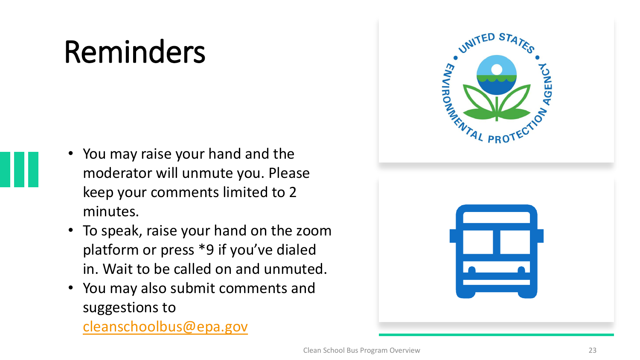### Reminders

- You may raise your hand and the moderator will unmute you. Please keep your comments limited to 2 minutes.
- To speak, raise your hand on the zoom platform or press \*9 if you've dialed in. Wait to be called on and unmuted.
- You may also submit comments and suggestions to

[cleanschoolbus@epa.gov](mailto:cleanschoolbus@epa.gov)